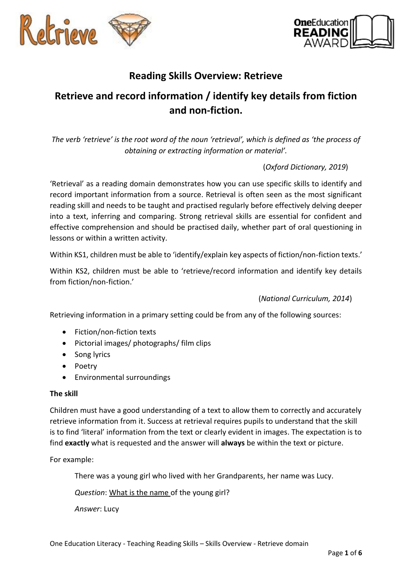



## **Reading Skills Overview: Retrieve**

# **Retrieve and record information / identify key details from fiction and non-fiction.**

*The verb 'retrieve' is the root word of the noun 'retrieval', which is defined as 'the process of obtaining or extracting information or material'.*

### (*Oxford Dictionary, 2019*)

'Retrieval' as a reading domain demonstrates how you can use specific skills to identify and record important information from a source. Retrieval is often seen as the most significant reading skill and needs to be taught and practised regularly before effectively delving deeper into a text, inferring and comparing. Strong retrieval skills are essential for confident and effective comprehension and should be practised daily, whether part of oral questioning in lessons or within a written activity.

Within KS1, children must be able to 'identify/explain key aspects of fiction/non-fiction texts.'

Within KS2, children must be able to 'retrieve/record information and identify key details from fiction/non-fiction.'

(*National Curriculum, 2014*)

Retrieving information in a primary setting could be from any of the following sources:

- Fiction/non-fiction texts
- Pictorial images/ photographs/ film clips
- Song lyrics
- Poetry
- Environmental surroundings

#### **The skill**

Children must have a good understanding of a text to allow them to correctly and accurately retrieve information from it. Success at retrieval requires pupils to understand that the skill is to find 'literal' information from the text or clearly evident in images. The expectation is to find **exactly** what is requested and the answer will **always** be within the text or picture.

For example:

There was a young girl who lived with her Grandparents, her name was Lucy.

*Question*: What is the name of the young girl?

*Answer*: Lucy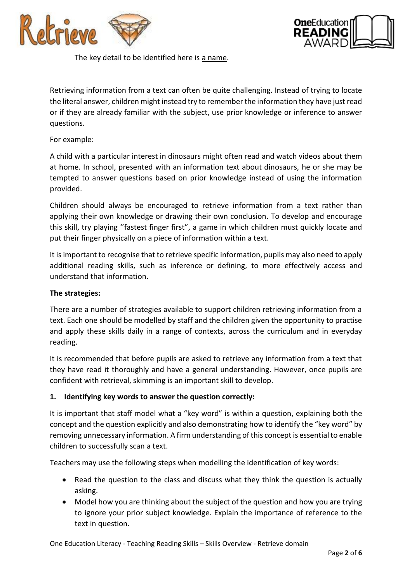



The key detail to be identified here is a name.

Retrieving information from a text can often be quite challenging. Instead of trying to locate the literal answer, children might instead try to remember the information they have just read or if they are already familiar with the subject, use prior knowledge or inference to answer questions.

#### For example:

A child with a particular interest in dinosaurs might often read and watch videos about them at home. In school, presented with an information text about dinosaurs, he or she may be tempted to answer questions based on prior knowledge instead of using the information provided.

Children should always be encouraged to retrieve information from a text rather than applying their own knowledge or drawing their own conclusion. To develop and encourage this skill, try playing ''fastest finger first", a game in which children must quickly locate and put their finger physically on a piece of information within a text.

It is important to recognise that to retrieve specific information, pupils may also need to apply additional reading skills, such as inference or defining, to more effectively access and understand that information.

#### **The strategies:**

There are a number of strategies available to support children retrieving information from a text. Each one should be modelled by staff and the children given the opportunity to practise and apply these skills daily in a range of contexts, across the curriculum and in everyday reading.

It is recommended that before pupils are asked to retrieve any information from a text that they have read it thoroughly and have a general understanding. However, once pupils are confident with retrieval, skimming is an important skill to develop.

#### **1. Identifying key words to answer the question correctly:**

It is important that staff model what a "key word" is within a question, explaining both the concept and the question explicitly and also demonstrating how to identify the "key word" by removing unnecessary information. A firm understanding of this concept is essential to enable children to successfully scan a text.

Teachers may use the following steps when modelling the identification of key words:

- Read the question to the class and discuss what they think the question is actually asking.
- Model how you are thinking about the subject of the question and how you are trying to ignore your prior subject knowledge. Explain the importance of reference to the text in question.

One Education Literacy - Teaching Reading Skills – Skills Overview - Retrieve domain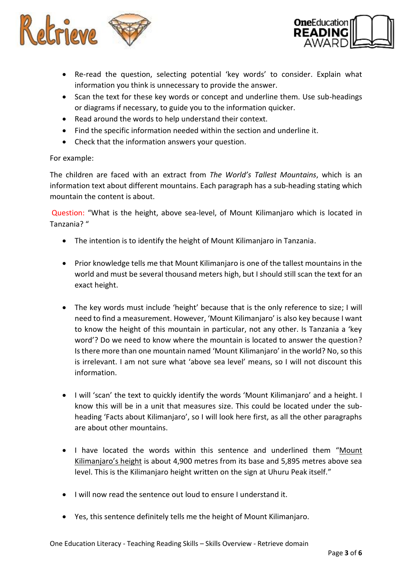



- Re-read the question, selecting potential 'key words' to consider. Explain what information you think is unnecessary to provide the answer.
- Scan the text for these key words or concept and underline them. Use sub-headings or diagrams if necessary, to guide you to the information quicker.
- Read around the words to help understand their context.
- Find the specific information needed within the section and underline it.
- Check that the information answers your question.

#### For example:

The children are faced with an extract from *The World's Tallest Mountains*, which is an information text about different mountains. Each paragraph has a sub-heading stating which mountain the content is about.

Question: "What is the height, above sea-level, of Mount Kilimanjaro which is located in Tanzania? "

- The intention is to identify the height of Mount Kilimanjaro in Tanzania.
- Prior knowledge tells me that Mount Kilimanjaro is one of the tallest mountains in the world and must be several thousand meters high, but I should still scan the text for an exact height.
- The key words must include 'height' because that is the only reference to size; I will need to find a measurement. However, 'Mount Kilimanjaro' is also key because I want to know the height of this mountain in particular, not any other. Is Tanzania a 'key word'? Do we need to know where the mountain is located to answer the question? Is there more than one mountain named 'Mount Kilimanjaro' in the world? No, so this is irrelevant. I am not sure what 'above sea level' means, so I will not discount this information.
- I will 'scan' the text to quickly identify the words 'Mount Kilimanjaro' and a height. I know this will be in a unit that measures size. This could be located under the subheading 'Facts about Kilimanjaro', so I will look here first, as all the other paragraphs are about other mountains.
- I have located the words within this sentence and underlined them "Mount Kilimanjaro's height is about 4,900 metres from its base and 5,895 metres above sea level. This is the Kilimanjaro height written on the sign at Uhuru Peak itself."
- I will now read the sentence out loud to ensure I understand it.
- Yes, this sentence definitely tells me the height of Mount Kilimanjaro.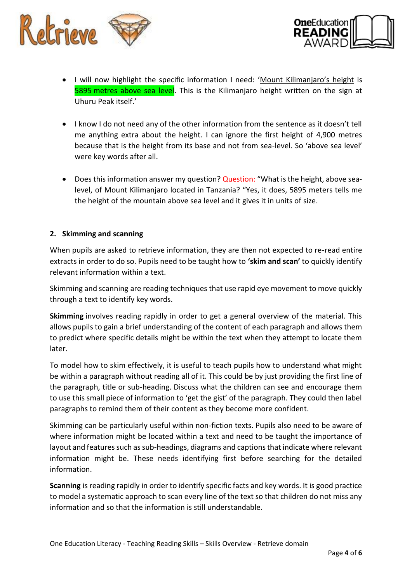



- I will now highlight the specific information I need: 'Mount Kilimanjaro's height is 5895 metres above sea level. This is the Kilimanjaro height written on the sign at Uhuru Peak itself.'
- I know I do not need any of the other information from the sentence as it doesn't tell me anything extra about the height. I can ignore the first height of 4,900 metres because that is the height from its base and not from sea-level. So 'above sea level' were key words after all.
- Does this information answer my question? Question: "What is the height, above sealevel, of Mount Kilimanjaro located in Tanzania? "Yes, it does, 5895 meters tells me the height of the mountain above sea level and it gives it in units of size.

#### **2. Skimming and scanning**

When pupils are asked to retrieve information, they are then not expected to re-read entire extracts in order to do so. Pupils need to be taught how to **'skim and scan'** to quickly identify relevant information within a text.

Skimming and scanning are reading techniques that use rapid eye movement to move quickly through a text to identify key words.

**Skimming** involves reading rapidly in order to get a general overview of the material. This allows pupils to gain a brief understanding of the content of each paragraph and allows them to predict where specific details might be within the text when they attempt to locate them later.

To model how to skim effectively, it is useful to teach pupils how to understand what might be within a paragraph without reading all of it. This could be by just providing the first line of the paragraph, title or sub-heading. Discuss what the children can see and encourage them to use this small piece of information to 'get the gist' of the paragraph. They could then label paragraphs to remind them of their content as they become more confident.

Skimming can be particularly useful within non-fiction texts. Pupils also need to be aware of where information might be located within a text and need to be taught the importance of layout and features such as sub-headings, diagrams and captions that indicate where relevant information might be. These needs identifying first before searching for the detailed information.

**Scanning** is reading rapidly in order to identify specific facts and key words. It is good practice to model a systematic approach to scan every line of the text so that children do not miss any information and so that the information is still understandable.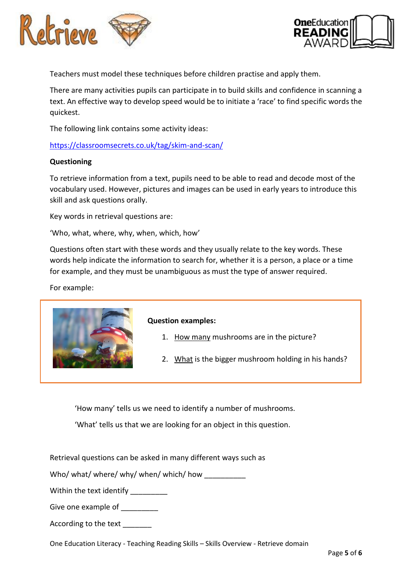



Teachers must model these techniques before children practise and apply them.

There are many activities pupils can participate in to build skills and confidence in scanning a text. An effective way to develop speed would be to initiate a 'race' to find specific words the quickest.

The following link contains some activity ideas:

<https://classroomsecrets.co.uk/tag/skim-and-scan/>

#### **Questioning**

To retrieve information from a text, pupils need to be able to read and decode most of the vocabulary used. However, pictures and images can be used in early years to introduce this skill and ask questions orally.

Key words in retrieval questions are:

'Who, what, where, why, when, which, how'

Questions often start with these words and they usually relate to the key words. These words help indicate the information to search for, whether it is a person, a place or a time for example, and they must be unambiguous as must the type of answer required.

For example:



#### **Question examples:**

- 1. How many mushrooms are in the picture?
- 2. What is the bigger mushroom holding in his hands?

'How many' tells us we need to identify a number of mushrooms.

'What' tells us that we are looking for an object in this question.

Retrieval questions can be asked in many different ways such as

Who/ what/ where/ why/ when/ which/ how

Within the text identify

Give one example of

According to the text

One Education Literacy - Teaching Reading Skills – Skills Overview - Retrieve domain